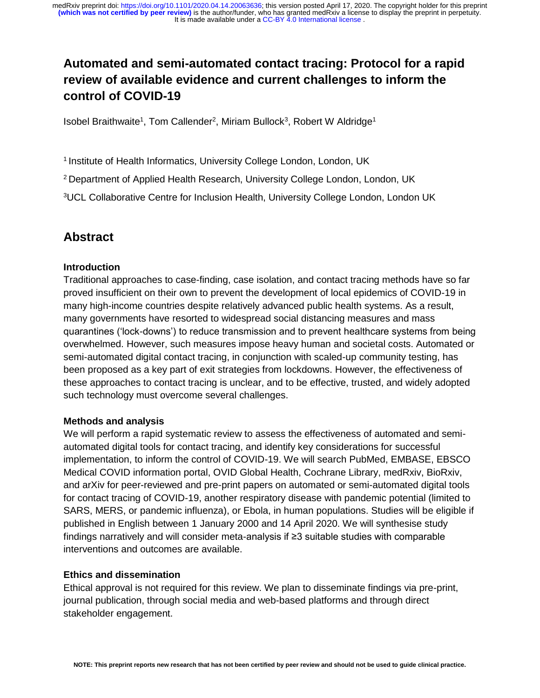# **Automated and semi-automated contact tracing: Protocol for a rapid review of available evidence and current challenges to inform the control of COVID-19**

Isobel Braithwaite<sup>1</sup>, Tom Callender<sup>2</sup>, Miriam Bullock<sup>3</sup>, Robert W Aldridge<sup>1</sup>

<sup>1</sup> Institute of Health Informatics, University College London, London, UK

<sup>2</sup> Department of Applied Health Research, University College London, London, UK

<sup>3</sup>UCL Collaborative Centre for Inclusion Health, University College London, London UK

## **Abstract**

#### **Introduction**

Traditional approaches to case-finding, case isolation, and contact tracing methods have so far proved insufficient on their own to prevent the development of local epidemics of COVID-19 in many high-income countries despite relatively advanced public health systems. As a result, many governments have resorted to widespread social distancing measures and mass quarantines ('lock-downs') to reduce transmission and to prevent healthcare systems from being overwhelmed. However, such measures impose heavy human and societal costs. Automated or semi-automated digital contact tracing, in conjunction with scaled-up community testing, has been proposed as a key part of exit strategies from lockdowns. However, the effectiveness of these approaches to contact tracing is unclear, and to be effective, trusted, and widely adopted such technology must overcome several challenges.

#### **Methods and analysis**

We will perform a rapid systematic review to assess the effectiveness of automated and semiautomated digital tools for contact tracing, and identify key considerations for successful implementation, to inform the control of COVID-19. We will search PubMed, EMBASE, EBSCO Medical COVID information portal, OVID Global Health, Cochrane Library, medRxiv, BioRxiv, and arXiv for peer-reviewed and pre-print papers on automated or semi-automated digital tools for contact tracing of COVID-19, another respiratory disease with pandemic potential (limited to SARS, MERS, or pandemic influenza), or Ebola, in human populations. Studies will be eligible if published in English between 1 January 2000 and 14 April 2020. We will synthesise study findings narratively and will consider meta-analysis if ≥3 suitable studies with comparable interventions and outcomes are available.

#### **Ethics and dissemination**

Ethical approval is not required for this review. We plan to disseminate findings via pre-print, journal publication, through social media and web-based platforms and through direct stakeholder engagement.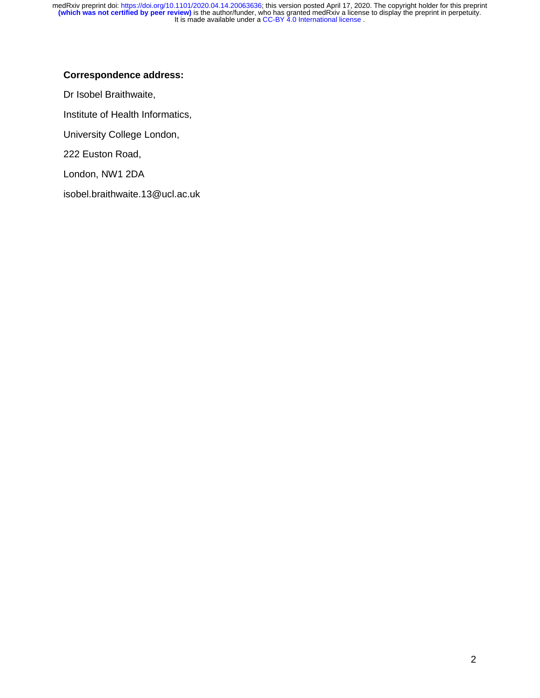### **Correspondence address:**

Dr Isobel Braithwaite, Institute of Health Informatics, University College London, 222 Euston Road, London, NW1 2DA isobel.braithwaite.13@ucl.ac.uk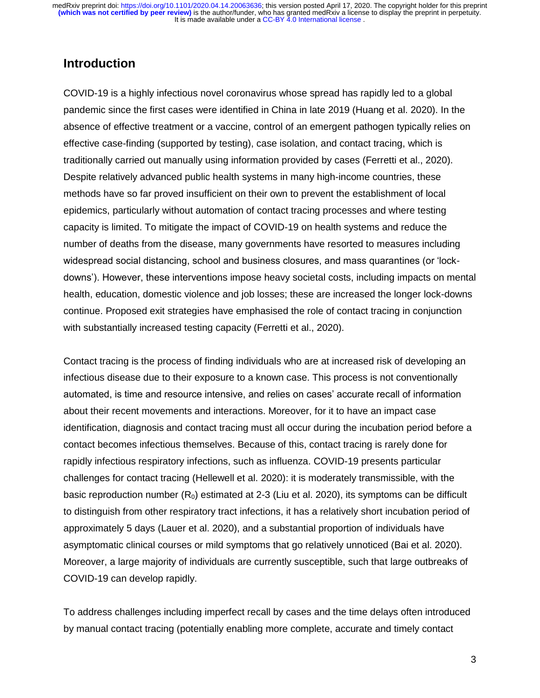## **Introduction**

COVID-19 is a highly infectious novel coronavirus whose spread has rapidly led to a global pandemic since the first cases were identified in China in late 2019 (Huang et al. 2020). In the absence of effective treatment or a vaccine, control of an emergent pathogen typically relies on effective case-finding (supported by testing), case isolation, and contact tracing, which is traditionally carried out manually using information provided by cases (Ferretti et al., 2020). Despite relatively advanced public health systems in many high-income countries, these methods have so far proved insufficient on their own to prevent the establishment of local epidemics, particularly without automation of contact tracing processes and where testing capacity is limited. To mitigate the impact of COVID-19 on health systems and reduce the number of deaths from the disease, many governments have resorted to measures including widespread social distancing, school and business closures, and mass quarantines (or 'lockdowns'). However, these interventions impose heavy societal costs, including impacts on mental health, education, domestic violence and job losses; these are increased the longer lock-downs continue. Proposed exit strategies have emphasised the role of contact tracing in conjunction with substantially increased testing capacity (Ferretti et al., 2020).

Contact tracing is the process of finding individuals who are at increased risk of developing an infectious disease due to their exposure to a known case. This process is not conventionally automated, is time and resource intensive, and relies on cases' accurate recall of information about their recent movements and interactions. Moreover, for it to have an impact case identification, diagnosis and contact tracing must all occur during the incubation period before a contact becomes infectious themselves. Because of this, contact tracing is rarely done for rapidly infectious respiratory infections, such as influenza. COVID-19 presents particular challenges for contact tracing (Hellewell et al. 2020): it is moderately transmissible, with the basic reproduction number  $(R_0)$  estimated at 2-3 (Liu et al. 2020), its symptoms can be difficult to distinguish from other respiratory tract infections, it has a relatively short incubation period of approximately 5 days (Lauer et al. 2020), and a substantial proportion of individuals have asymptomatic clinical courses or mild symptoms that go relatively unnoticed (Bai et al. 2020). Moreover, a large majority of individuals are currently susceptible, such that large outbreaks of COVID-19 can develop rapidly.

To address challenges including imperfect recall by cases and the time delays often introduced by manual contact tracing (potentially enabling more complete, accurate and timely contact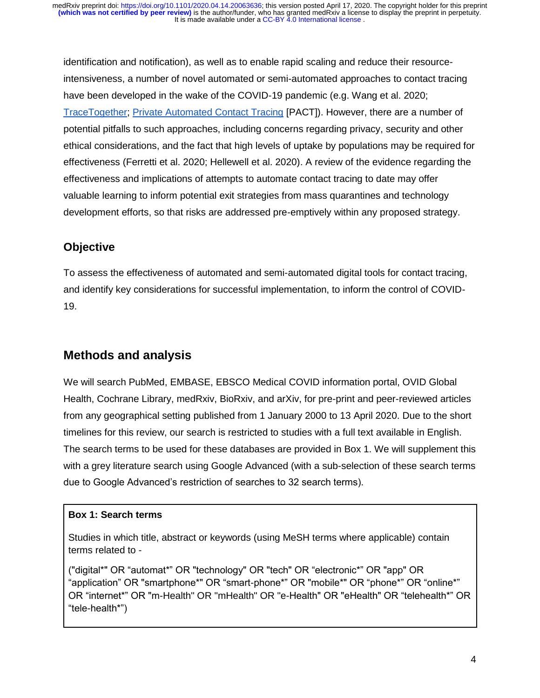identification and notification), as well as to enable rapid scaling and reduce their resourceintensiveness, a number of novel automated or semi-automated approaches to contact tracing have been developed in the wake of the COVID-19 pandemic (e.g. Wang et al. 2020; [TraceTogether;](https://www.tracetogether.gov.sg/) [Private Automated Contact Tracing](https://pact.mit.edu/) [PACT]). However, there are a number of potential pitfalls to such approaches, including concerns regarding privacy, security and other ethical considerations, and the fact that high levels of uptake by populations may be required for effectiveness (Ferretti et al. 2020; Hellewell et al. 2020). A review of the evidence regarding the effectiveness and implications of attempts to automate contact tracing to date may offer valuable learning to inform potential exit strategies from mass quarantines and technology development efforts, so that risks are addressed pre-emptively within any proposed strategy.

## **Objective**

To assess the effectiveness of automated and semi-automated digital tools for contact tracing, and identify key considerations for successful implementation, to inform the control of COVID-19.

# **Methods and analysis**

We will search PubMed, EMBASE, EBSCO Medical COVID information portal, OVID Global Health, Cochrane Library, medRxiv, BioRxiv, and arXiv, for pre-print and peer-reviewed articles from any geographical setting published from 1 January 2000 to 13 April 2020. Due to the short timelines for this review, our search is restricted to studies with a full text available in English. The search terms to be used for these databases are provided in Box 1. We will supplement this with a grey literature search using Google Advanced (with a sub-selection of these search terms due to Google Advanced's restriction of searches to 32 search terms).

### **Box 1: Search terms**

Studies in which title, abstract or keywords (using MeSH terms where applicable) contain terms related to -

("digital\*" OR "automat\*" OR "technology" OR "tech" OR "electronic\*" OR "app" OR "application" OR "smartphone\*" OR "smart-phone\*" OR "mobile\*" OR "phone\*" OR "online\*" OR "internet\*" OR "m-Health" OR "mHealth" OR "e-Health" OR "eHealth" OR "telehealth\*" OR "tele-health\*")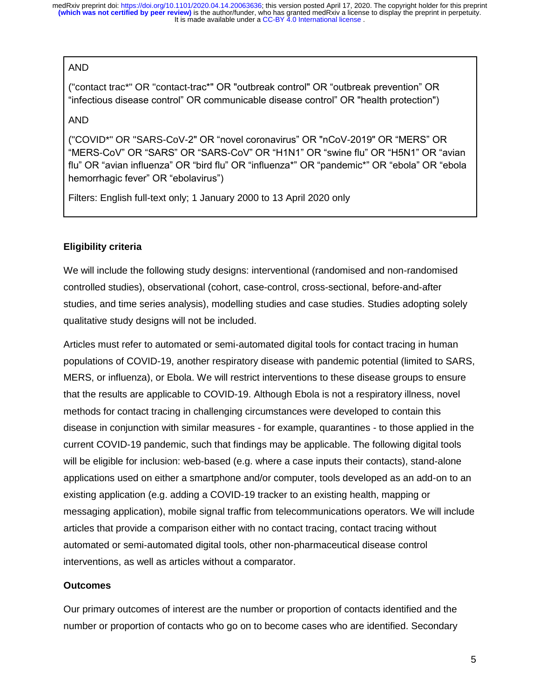#### AND

("contact trac\*" OR "contact-trac\*" OR "outbreak control" OR "outbreak prevention" OR "infectious disease control" OR communicable disease control" OR "health protection")

AND

("COVID\*" OR "SARS-CoV-2" OR "novel coronavirus" OR "nCoV-2019" OR "MERS" OR "MERS-CoV" OR "SARS" OR "SARS-CoV" OR "H1N1" OR "swine flu" OR "H5N1" OR "avian flu" OR "avian influenza" OR "bird flu" OR "influenza\*" OR "pandemic\*" OR "ebola" OR "ebola hemorrhagic fever" OR "ebolavirus")

Filters: English full-text only; 1 January 2000 to 13 April 2020 only

#### **Eligibility criteria**

We will include the following study designs: interventional (randomised and non-randomised controlled studies), observational (cohort, case-control, cross-sectional, before-and-after studies, and time series analysis), modelling studies and case studies. Studies adopting solely qualitative study designs will not be included.

Articles must refer to automated or semi-automated digital tools for contact tracing in human populations of COVID-19, another respiratory disease with pandemic potential (limited to SARS, MERS, or influenza), or Ebola. We will restrict interventions to these disease groups to ensure that the results are applicable to COVID-19. Although Ebola is not a respiratory illness, novel methods for contact tracing in challenging circumstances were developed to contain this disease in conjunction with similar measures - for example, quarantines - to those applied in the current COVID-19 pandemic, such that findings may be applicable. The following digital tools will be eligible for inclusion: web-based (e.g. where a case inputs their contacts), stand-alone applications used on either a smartphone and/or computer, tools developed as an add-on to an existing application (e.g. adding a COVID-19 tracker to an existing health, mapping or messaging application), mobile signal traffic from telecommunications operators. We will include articles that provide a comparison either with no contact tracing, contact tracing without automated or semi-automated digital tools, other non-pharmaceutical disease control interventions, as well as articles without a comparator.

#### **Outcomes**

Our primary outcomes of interest are the number or proportion of contacts identified and the number or proportion of contacts who go on to become cases who are identified. Secondary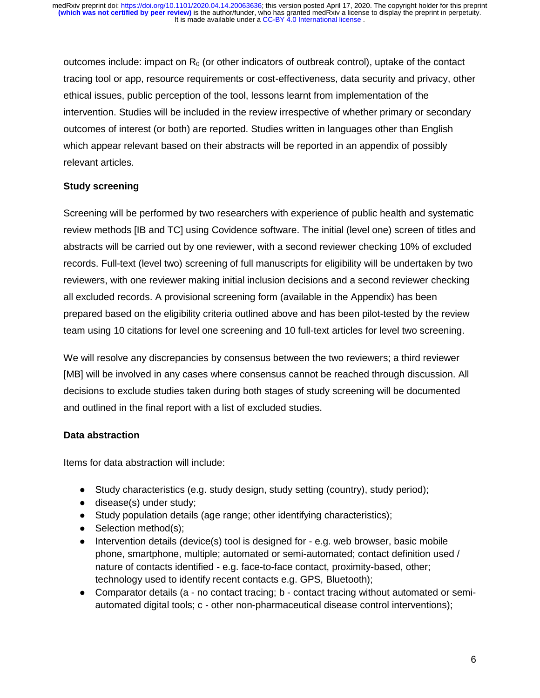outcomes include: impact on  $R_0$  (or other indicators of outbreak control), uptake of the contact tracing tool or app, resource requirements or cost-effectiveness, data security and privacy, other ethical issues, public perception of the tool, lessons learnt from implementation of the intervention. Studies will be included in the review irrespective of whether primary or secondary outcomes of interest (or both) are reported. Studies written in languages other than English which appear relevant based on their abstracts will be reported in an appendix of possibly relevant articles.

#### **Study screening**

Screening will be performed by two researchers with experience of public health and systematic review methods [IB and TC] using Covidence software. The initial (level one) screen of titles and abstracts will be carried out by one reviewer, with a second reviewer checking 10% of excluded records. Full-text (level two) screening of full manuscripts for eligibility will be undertaken by two reviewers, with one reviewer making initial inclusion decisions and a second reviewer checking all excluded records. A provisional screening form (available in the Appendix) has been prepared based on the eligibility criteria outlined above and has been pilot-tested by the review team using 10 citations for level one screening and 10 full-text articles for level two screening.

We will resolve any discrepancies by consensus between the two reviewers; a third reviewer [MB] will be involved in any cases where consensus cannot be reached through discussion. All decisions to exclude studies taken during both stages of study screening will be documented and outlined in the final report with a list of excluded studies.

#### **Data abstraction**

Items for data abstraction will include:

- Study characteristics (e.g. study design, study setting (country), study period);
- disease(s) under study;
- Study population details (age range; other identifying characteristics);
- $\bullet$  Selection method(s);
- Intervention details (device(s) tool is designed for e.g. web browser, basic mobile phone, smartphone, multiple; automated or semi-automated; contact definition used / nature of contacts identified - e.g. face-to-face contact, proximity-based, other; technology used to identify recent contacts e.g. GPS, Bluetooth);
- Comparator details (a no contact tracing; b contact tracing without automated or semiautomated digital tools; c - other non-pharmaceutical disease control interventions);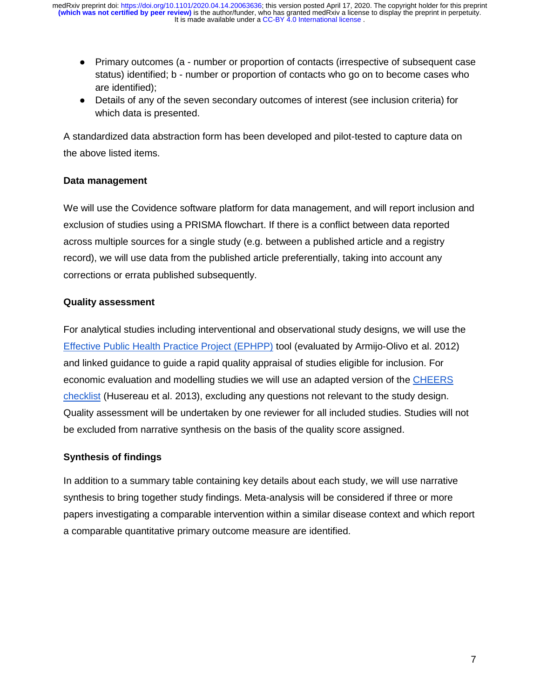- Primary outcomes (a number or proportion of contacts (irrespective of subsequent case status) identified; b - number or proportion of contacts who go on to become cases who are identified);
- Details of any of the seven secondary outcomes of interest (see inclusion criteria) for which data is presented.

A standardized data abstraction form has been developed and pilot-tested to capture data on the above listed items.

#### **Data management**

We will use the Covidence software platform for data management, and will report inclusion and exclusion of studies using a PRISMA flowchart. If there is a conflict between data reported across multiple sources for a single study (e.g. between a published article and a registry record), we will use data from the published article preferentially, taking into account any corrections or errata published subsequently.

#### **Quality assessment**

For analytical studies including interventional and observational study designs, we will use the [Effective Public Health Practice Project \(EPHPP\)](https://merst.ca/ephpp/) tool (evaluated by Armijo-Olivo et al. 2012) and linked guidance to guide a rapid quality appraisal of studies eligible for inclusion. For economic evaluation and modelling studies we will use an adapted version of the [CHEERS](https://www.equator-network.org/wp-content/uploads/2013/04/Revised-CHEERS-Checklist-Oct13.pdf)  [checklist](https://www.equator-network.org/wp-content/uploads/2013/04/Revised-CHEERS-Checklist-Oct13.pdf) (Husereau et al. 2013), excluding any questions not relevant to the study design. Quality assessment will be undertaken by one reviewer for all included studies. Studies will not be excluded from narrative synthesis on the basis of the quality score assigned.

#### **Synthesis of findings**

In addition to a summary table containing key details about each study, we will use narrative synthesis to bring together study findings. Meta-analysis will be considered if three or more papers investigating a comparable intervention within a similar disease context and which report a comparable quantitative primary outcome measure are identified.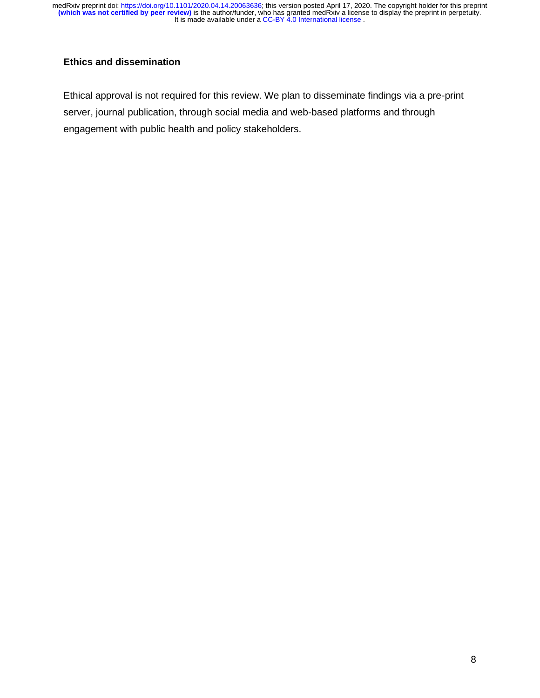#### **Ethics and dissemination**

Ethical approval is not required for this review. We plan to disseminate findings via a pre-print server, journal publication, through social media and web-based platforms and through engagement with public health and policy stakeholders.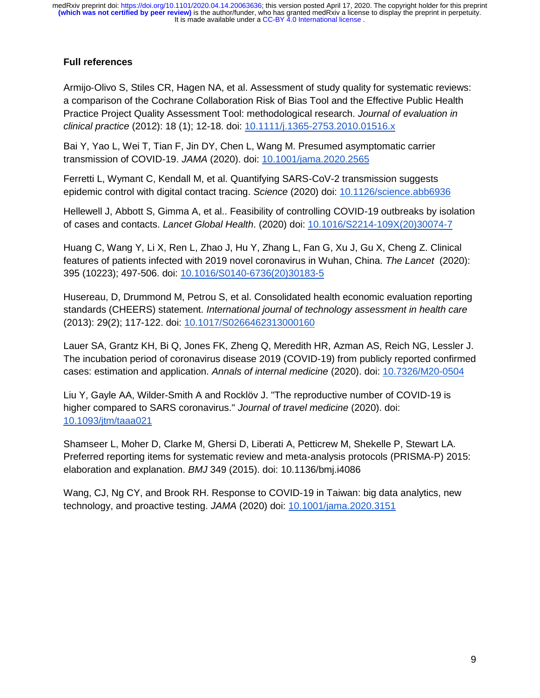It is made available under a CC-BY 4.0 International license. **(which was not certified by peer review)** is the author/funder, who has granted medRxiv a license to display the preprint in perpetuity. medRxiv preprint doi: [https://doi.org/10.1101/2020.04.14.20063636;](https://doi.org/10.1101/2020.04.14.20063636) this version posted April 17, 2020. The copyright holder for this preprint

#### **Full references**

Armijo‐Olivo S, Stiles CR, Hagen NA, et al. Assessment of study quality for systematic reviews: a comparison of the Cochrane Collaboration Risk of Bias Tool and the Effective Public Health Practice Project Quality Assessment Tool: methodological research. *Journal of evaluation in clinical practice* (2012): 18 (1); 12-18. doi: [10.1111/j.1365-2753.2010.01516.x](https://doi.org/10.1111/j.1365-2753.2010.01516.x)

Bai Y, Yao L, Wei T, Tian F, Jin DY, Chen L, Wang M. Presumed asymptomatic carrier transmission of COVID-19. *JAMA* (2020). doi: [10.1001/jama.2020.2565](https://doi.org/10.1001/jama.2020.2565)

Ferretti L, Wymant C, Kendall M, et al. Quantifying SARS-CoV-2 transmission suggests epidemic control with digital contact tracing. *Science* (2020) doi: [10.1126/science.abb6936](https://doi.org/10.1126/science.abb6936)

Hellewell J, Abbott S, Gimma A, et al.. Feasibility of controlling COVID-19 outbreaks by isolation of cases and contacts. *Lancet Global Health*. (2020) doi: [10.1016/S2214-109X\(20\)30074-7](https://doi.org/10.1016/S2214-109X(20)30074-7)

Huang C, Wang Y, Li X, Ren L, Zhao J, Hu Y, Zhang L, Fan G, Xu J, Gu X, Cheng Z. Clinical features of patients infected with 2019 novel coronavirus in Wuhan, China. *The Lancet* (2020): 395 (10223); 497-506. doi: [10.1016/S0140-6736\(20\)30183-5](https://doi.org/10.1016/s0140-6736(20)30183-5)

Husereau, D, Drummond M, Petrou S, et al. Consolidated health economic evaluation reporting standards (CHEERS) statement. *International journal of technology assessment in health care* (2013): 29(2); 117-122. doi: [10.1017/S0266462313000160](https://doi.org/10.1017/S0266462313000160)

Lauer SA, Grantz KH, Bi Q, Jones FK, Zheng Q, Meredith HR, Azman AS, Reich NG, Lessler J. The incubation period of coronavirus disease 2019 (COVID-19) from publicly reported confirmed cases: estimation and application. *Annals of internal medicine* (2020). doi: [10.7326/M20-0504](https://doi.org/10.7326/m20-0504)

Liu Y, Gayle AA, Wilder-Smith A and Rocklöv J. "The reproductive number of COVID-19 is higher compared to SARS coronavirus." *Journal of travel medicine* (2020). doi: [10.1093/jtm/taaa021](https://doi.org/10.1093/jtm/taaa021)

Shamseer L, Moher D, Clarke M, Ghersi D, Liberati A, Petticrew M, Shekelle P, Stewart LA. Preferred reporting items for systematic review and meta-analysis protocols (PRISMA-P) 2015: elaboration and explanation. *BMJ* 349 (2015). doi: 10.1136/bmj.i4086

Wang, CJ, Ng CY, and Brook RH. Response to COVID-19 in Taiwan: big data analytics, new technology, and proactive testing. *JAMA* (2020) doi: [10.1001/jama.2020.3151](https://doi.org/10.1001/jama.2020.3151)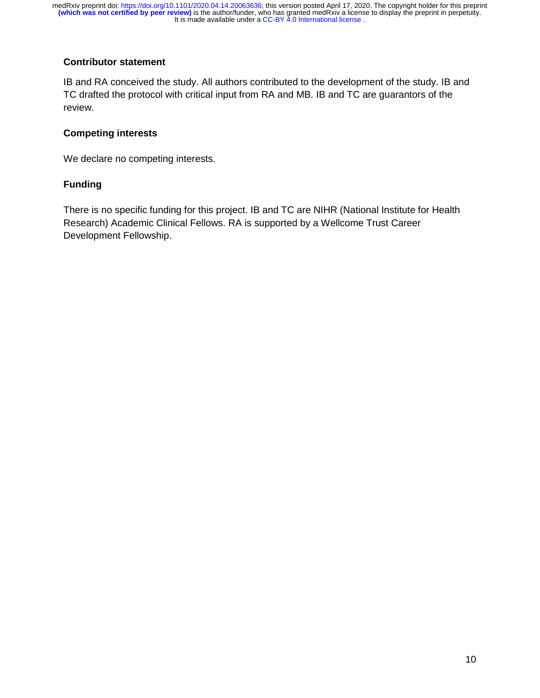#### **Contributor statement**

IB and RA conceived the study. All authors contributed to the development of the study. IB and TC drafted the protocol with critical input from RA and MB. IB and TC are guarantors of the review.

#### **Competing interests**

We declare no competing interests.

#### **Funding**

There is no specific funding for this project. IB and TC are NIHR (National Institute for Health Research) Academic Clinical Fellows. RA is supported by a Wellcome Trust Career Development Fellowship.